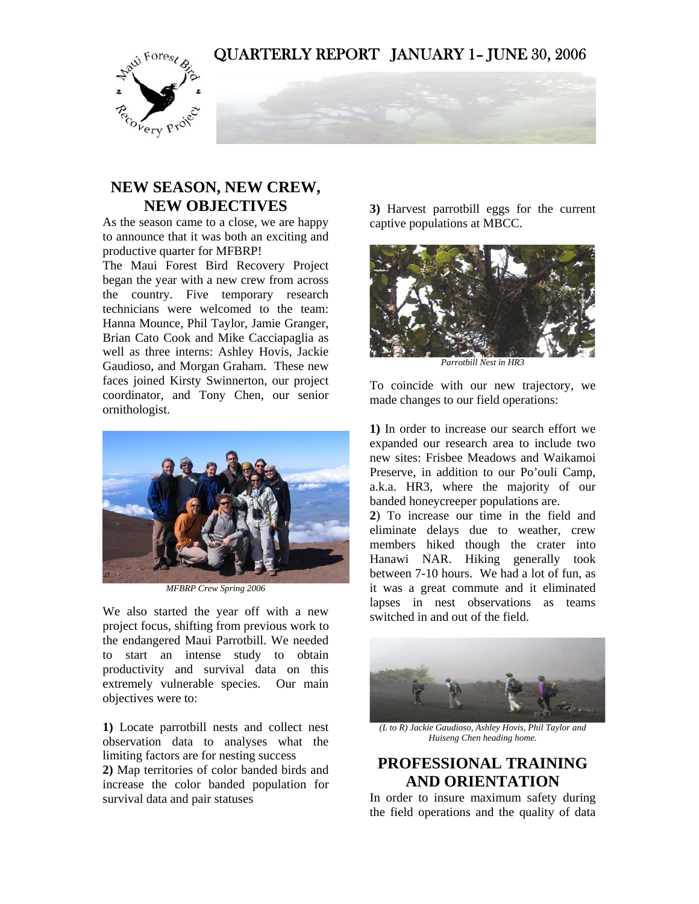## QUARTERLY REPORT JANUARY 1– JUNE 30, 2006



# **NEW SEASON, NEW CREW, NEW OBJECTIVES**

As the season came to a close, we are happy to announce that it was both an exciting and productive quarter for MFBRP!

The Maui Forest Bird Recovery Project began the year with a new crew from across the country. Five temporary research technicians were welcomed to the team: Hanna Mounce, Phil Taylor, Jamie Granger, Brian Cato Cook and Mike Cacciapaglia as well as three interns: Ashley Hovis, Jackie Gaudioso, and Morgan Graham. These new faces joined Kirsty Swinnerton, our project coordinator, and Tony Chen, our senior ornithologist.



*MFBRP Crew Spring 2006* 

We also started the year off with a new project focus, shifting from previous work to the endangered Maui Parrotbill. We needed to start an intense study to obtain productivity and survival data on this extremely vulnerable species. Our main objectives were to:

**1)** Locate parrotbill nests and collect nest observation data to analyses what the limiting factors are for nesting success

**2)** Map territories of color banded birds and increase the color banded population for survival data and pair statuses

**3)** Harvest parrotbill eggs for the current captive populations at MBCC.



*Parrotbill Nest in HR3* 

To coincide with our new trajectory, we made changes to our field operations:

**1)** In order to increase our search effort we expanded our research area to include two new sites: Frisbee Meadows and Waikamoi Preserve, in addition to our Po'ouli Camp, a.k.a. HR3, where the majority of our banded honeycreeper populations are.

**2**) To increase our time in the field and eliminate delays due to weather, crew members hiked though the crater into Hanawi NAR. Hiking generally took between 7-10 hours. We had a lot of fun, as it was a great commute and it eliminated lapses in nest observations as teams switched in and out of the field.



*(L to R) Jackie Gaudioso, Ashley Hovis, Phil Taylor and Huiseng Chen heading home.* 

## **PROFESSIONAL TRAINING AND ORIENTATION**

In order to insure maximum safety during the field operations and the quality of data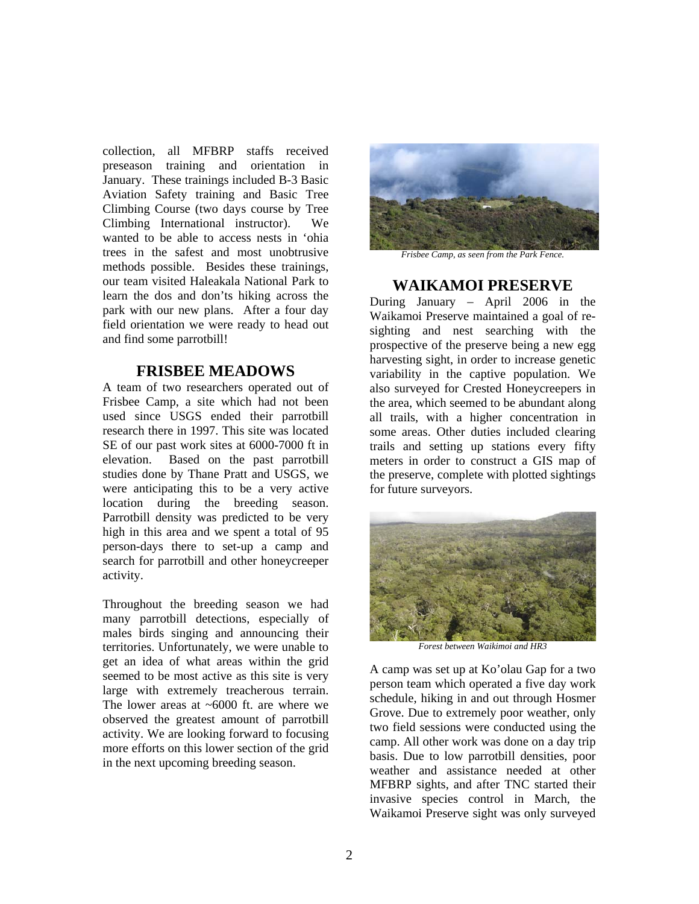collection, all MFBRP staffs received preseason training and orientation in January. These trainings included B-3 Basic Aviation Safety training and Basic Tree Climbing Course (two days course by Tree Climbing International instructor). We wanted to be able to access nests in 'ohia trees in the safest and most unobtrusive methods possible. Besides these trainings, our team visited Haleakala National Park to learn the dos and don'ts hiking across the park with our new plans. After a four day field orientation we were ready to head out and find some parrotbill!

#### **FRISBEE MEADOWS**

A team of two researchers operated out of Frisbee Camp, a site which had not been used since USGS ended their parrotbill research there in 1997. This site was located SE of our past work sites at 6000-7000 ft in elevation. Based on the past parrotbill studies done by Thane Pratt and USGS, we were anticipating this to be a very active location during the breeding season. Parrotbill density was predicted to be very high in this area and we spent a total of 95 person-days there to set-up a camp and search for parrotbill and other honeycreeper activity.

Throughout the breeding season we had many parrotbill detections, especially of males birds singing and announcing their territories. Unfortunately, we were unable to get an idea of what areas within the grid seemed to be most active as this site is very large with extremely treacherous terrain. The lower areas at  $~6000$  ft. are where we observed the greatest amount of parrotbill activity. We are looking forward to focusing more efforts on this lower section of the grid in the next upcoming breeding season.



*Frisbee Camp, as seen from the Park Fence.* 

#### **WAIKAMOI PRESERVE**

During January – April 2006 in the Waikamoi Preserve maintained a goal of resighting and nest searching with the prospective of the preserve being a new egg harvesting sight, in order to increase genetic variability in the captive population. We also surveyed for Crested Honeycreepers in the area, which seemed to be abundant along all trails, with a higher concentration in some areas. Other duties included clearing trails and setting up stations every fifty meters in order to construct a GIS map of the preserve, complete with plotted sightings for future surveyors.



*Forest between Waikimoi and HR3* 

A camp was set up at Ko'olau Gap for a two person team which operated a five day work schedule, hiking in and out through Hosmer Grove. Due to extremely poor weather, only two field sessions were conducted using the camp. All other work was done on a day trip basis. Due to low parrotbill densities, poor weather and assistance needed at other MFBRP sights, and after TNC started their invasive species control in March, the Waikamoi Preserve sight was only surveyed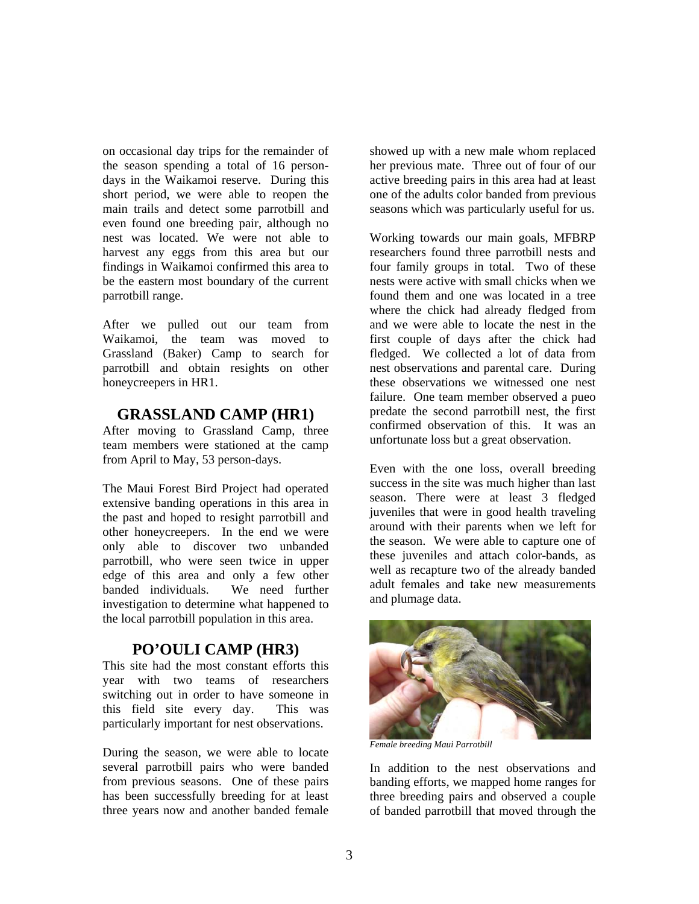on occasional day trips for the remainder of the season spending a total of 16 persondays in the Waikamoi reserve. During this short period, we were able to reopen the main trails and detect some parrotbill and even found one breeding pair, although no nest was located. We were not able to harvest any eggs from this area but our findings in Waikamoi confirmed this area to be the eastern most boundary of the current parrotbill range.

After we pulled out our team from Waikamoi, the team was moved to Grassland (Baker) Camp to search for parrotbill and obtain resights on other honeycreepers in HR1.

### **GRASSLAND CAMP (HR1)**

After moving to Grassland Camp, three team members were stationed at the camp from April to May, 53 person-days.

The Maui Forest Bird Project had operated extensive banding operations in this area in the past and hoped to resight parrotbill and other honeycreepers. In the end we were only able to discover two unbanded parrotbill, who were seen twice in upper edge of this area and only a few other banded individuals. We need further investigation to determine what happened to the local parrotbill population in this area.

### **PO'OULI CAMP (HR3)**

This site had the most constant efforts this year with two teams of researchers switching out in order to have someone in this field site every day. This was particularly important for nest observations.

During the season, we were able to locate several parrotbill pairs who were banded from previous seasons. One of these pairs has been successfully breeding for at least three years now and another banded female showed up with a new male whom replaced her previous mate. Three out of four of our active breeding pairs in this area had at least one of the adults color banded from previous seasons which was particularly useful for us.

Working towards our main goals, MFBRP researchers found three parrotbill nests and four family groups in total. Two of these nests were active with small chicks when we found them and one was located in a tree where the chick had already fledged from and we were able to locate the nest in the first couple of days after the chick had fledged. We collected a lot of data from nest observations and parental care. During these observations we witnessed one nest failure. One team member observed a pueo predate the second parrotbill nest, the first confirmed observation of this. It was an unfortunate loss but a great observation.

Even with the one loss, overall breeding success in the site was much higher than last season. There were at least 3 fledged juveniles that were in good health traveling around with their parents when we left for the season. We were able to capture one of these juveniles and attach color-bands, as well as recapture two of the already banded adult females and take new measurements and plumage data.



*Female breeding Maui Parrotbill* 

In addition to the nest observations and banding efforts, we mapped home ranges for three breeding pairs and observed a couple of banded parrotbill that moved through the